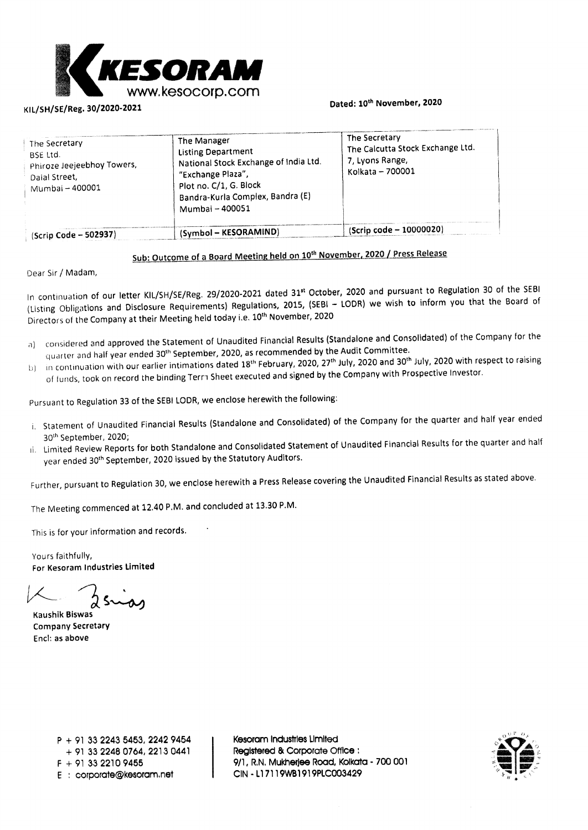

### KIL/SH/SE/Reg. **30/2020-2021 Dated: 10th November, 2020**

| The Secretary<br><b>BSE Ltd.</b><br>Phiroze Jeejeebhoy Towers,<br>Daial Street,<br>Mumbai - 400001 | The Manager<br><b>Listing Department</b><br>National Stock Exchange of India Ltd.<br>"Exchange Plaza",<br>Plot no. C/1, G. Block<br>Bandra-Kurla Complex, Bandra (E)<br>Mumbai - 400051 | The Secretary<br>The Calcutta Stock Exchange Ltd.<br>7, Lyons Range,<br>Kolkata - 700001 |
|----------------------------------------------------------------------------------------------------|-----------------------------------------------------------------------------------------------------------------------------------------------------------------------------------------|------------------------------------------------------------------------------------------|
| $(Scrip Code - 502937)$                                                                            | (Symbol - KESORAMIND)                                                                                                                                                                   | (Scrip code - 10000020)                                                                  |

### Sub: Outcome of a Board Meeting held on 10<sup>th</sup> November, 2020 / Press Release

Dear Sir / Madam,

In continuation **of our letter KIL/SH/SE/Reg. 29/2020-2021 dated 31' October, 2020 and pursuant to Regulation 30 of the SEBI**  (Listing Obligations and Disclosure Requirements) Regulations, 2015, (SEBI - LODR) we wish to inform you that the Board of Directors of the Company at their Meeting held **today i.e. 10th November, 2020** 

- **a) considered** and approved the Statement of Unaudited **Financial Results (Standalone and Consolidated) of the Company for the**  quarter and half year ended 30th September, 2020, **as recommended by the Audit Committee.**
- 1:,) in continuation with our earlier intimations dated 18 th **February, 2020, 27th July, 2020 and 30th July, 2020 with respect to raising**  of funds, took on record the binding Tern Sheet executed and **signed by the Company with Prospective Investor.**

Pursuant to Regulation 33 of the SEBI LODR, we enclose herewith the **following:** 

- i. Statement of Unaudited Financial Results (Standalone and Consolidated) **of the Company for the quarter and half year ended**
- 30<sup>th</sup> September, 2020;<br>Limited Review Reports for both Standalone and Consolidated Statement of Unaudited Financial Results for the quarter and hal year ended 30<sup>th</sup> September, 2020 issued by the Statutory Auditors.

Further, pursuant to Regulation 30, we **enclose** herewith a Press Release covering the Unaudited Financial Results as stated above.

The Meeting commenced at 12.40 P.M. and **concluded** at 13.30 P.M.

This is for your information and records.

Yours faithfully, For **Kesoram Industries Limited** 

**Kaushik Biswas Company Secretary End: as above** 

**P + 91 33 2243 5453, 2242 9454**  + 91 **33 2248 0764, 2213 0441 F 4- 91 33 2210 9455 E corporate@kesoram.net** 

**Kesoram Industries Limited Registered & Corporate Office 9/1, R.N. Mukherjee Road, Kolkata - 700 001 CIN • Ll 7119W131919PLC003429** 

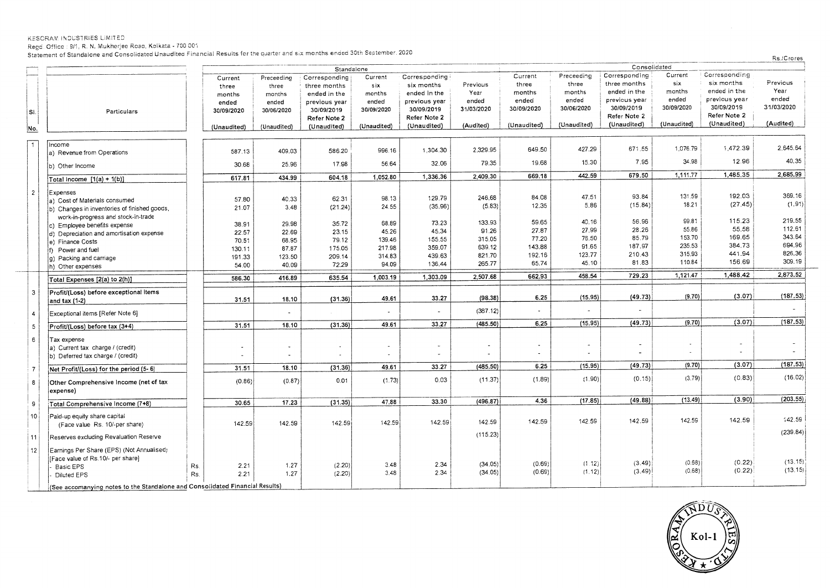Regd. Office : 9/1, R. N. Mukherjee Road, Kolkata - 700 001

Statement of Standalone and Consolidated Unaudited Financial Results for the quarter and six months ended 30th September. 2020

|                 |                                                                              |     | Standalone            |             |               |             | Consolidated          |            |                          |             |               |             |                |            |
|-----------------|------------------------------------------------------------------------------|-----|-----------------------|-------------|---------------|-------------|-----------------------|------------|--------------------------|-------------|---------------|-------------|----------------|------------|
|                 |                                                                              |     | Current               | Preceeding  | Corresponding | Current     | Corresponding         |            | Current                  | Preceeding  | Corresponding | Current     | Corresponding  |            |
|                 |                                                                              |     | three                 | three       | three months  | six         | six months            | Previous   | three                    | three       | three months  | six         | six months     | Previous   |
|                 |                                                                              |     | months                | months      | ended in the  | months      | ended in the          | Year       | months                   | months      | ended in the  | months      | ended in the   | Year       |
|                 |                                                                              |     | ended                 | ended       | previous year | ended       | previous year         | ended      | ended                    | ended       | previous year | ended       | previcus year  | ended      |
| SΙ              | Particulars                                                                  |     | 30/09/2020            | 30/06/2020  | 30/09/2019    | 30/09/2020  | 30/09/2019            | 31/03/2020 | 30/09/2020               | 30/06/2020  | 30/09/2019    | 30/09/2020  | 30/09/2019     | 31/03/2020 |
|                 |                                                                              |     |                       |             | Refer Note 2  |             | Refer Note 2          |            |                          |             | Refer Note 2  |             | Refer Note 2   |            |
| No.             |                                                                              |     | (Unaudited)           | (Unaudited) | (Unaudited)   | (Unaudited) | (Unaudited)           | (Audited)  | (Unaudited)              | (Unaudited) | (Unaudited)   | (Unaudited) | (Unaudited)    | (Audited)  |
|                 |                                                                              |     |                       |             |               |             |                       |            |                          |             |               |             |                |            |
|                 | Income                                                                       |     |                       |             |               |             |                       |            |                          |             |               | 1,076.79    | 1,472.39       | 2.645.64   |
|                 | a) Revenue from Operations                                                   |     | 587.13                | 409.03      | 586.20        | 996.16      | 1,304.30              | 2.329.95   | 649.50                   | 427.29      | 671.55        |             |                |            |
|                 |                                                                              |     | 30.68                 | 25.96       | 17.98         | 56.64       | 32.06                 | 79.35      | 19.68                    | 15.30       | 7.95          | 34.98       | 12.96          | 40.35      |
|                 | b) Other Income                                                              |     |                       |             |               |             |                       |            |                          |             |               |             |                | 2,685.99   |
|                 | Total income $[1(a) + 1(b)]$                                                 |     | 617.81                | 434.99      | 604.18        | 1,052.80    | 1,336.36              | 2,409.30   | 669.18                   | 442.59      | 679.50        | 1,111.77    | 1,485.35       |            |
| $\overline{2}$  | Expenses                                                                     |     |                       |             |               |             |                       |            |                          |             |               |             |                |            |
|                 | a) Cost of Materials consumed                                                |     | 57.80                 | 40.33       | 62.31         | 98.13       | 129.79                | 246.68     | 84.08                    | 47.51       | 93.84         | 131.59      | 192.03         | 369.16     |
|                 | (b) Changes in inventories of finished goods,                                |     | 21.07                 | 3.48        | (21.24)       | 24.55       | (35.96)               | (5.83)     | 12.35                    | 5.86        | (15.84)       | 18.21       | (27.45)        | (1.91)     |
|                 | work-in-progress and stock-in-trade                                          |     |                       |             |               |             |                       |            |                          |             |               |             |                |            |
|                 | c) Employee benefits expense                                                 |     | 38.91                 | 29.98       | 35.72         | 68.89       | 73.23                 | 133.93     | 59.65                    | 40.16       | 56.96         | 99.81       | 115.23         | 219.55     |
|                 | d) Depreciation and amortisation expense                                     |     | 22.57                 | 22.69       | 23.15         | 45.26       | 45.34                 | 91.26      | 27.87                    | 27.99       | 28.26         | 55,86       | 55.58          | 112.61     |
|                 | e) Finance Costs                                                             |     | 70.51                 | 68.95       | 79.12         | 139.46      | 155.55                | 315.05     | 77.20                    | 76.50       | 85.79         | 153.70      | 169.65         | 343.64     |
|                 | (f) Power and fuel                                                           |     | 130.11                | 87.87       | 175.05        | 217.98      | 359.07                | 639.12     | 143.88                   | 91.65       | 187.97        | 235.53      | 384.73         | 694.96     |
|                 | g) Packing and carriage                                                      |     | 191.33                | 123.50      | 209.14        | 314.83      | 439.63                | 821.70     | 192.16                   | 123.77      | 210.43        | 315.93      | 441.94         | 826.36     |
|                 | h) Other expenses                                                            |     | 54.00                 | 40.09       | 72.29         | 94.09       | 136.44                | 265.77     | 65.74                    | 45.10       | 81.83         | 110.84      | 156.69         | 309.19     |
|                 |                                                                              |     |                       | 416.89      | 635.54        | 1,003.19    | 1,303.09              | 2,507.68   | 662.93                   | 458.54      | 729.23        | 1,121.47    | 1,488.42       | 2,873.52   |
|                 | Total Expenses [2(a) to 2(h)]                                                |     | 586.30                |             |               |             |                       |            |                          |             |               |             |                |            |
| 3               | Profit/(Loss) before exceptional items                                       |     |                       |             |               |             |                       |            |                          |             |               | (9.70)      | (3.07)         | (187.53)   |
|                 | and tax (1-2)                                                                |     | 31.51                 | 18.10       | (31.36)       | 49.61       | 33.27                 | (98.38)    | 6.25                     | (15.95)     | (49.73)       |             |                |            |
| 4               | Exceptional items [Refer Note 6]                                             |     |                       |             |               |             | $\sim$                | (387.12)   | $\tilde{\phantom{a}}$    |             |               |             |                |            |
|                 |                                                                              |     |                       | 18.10       | (31.36)       | 49.61       | 33.27                 | (485.50)   | 6.25                     | (15.95)     | (49.73)       | (9.70)      | (3.07)         | (187.53)   |
| $5\phantom{.0}$ | Profit/(Loss) before tax (3+4)                                               |     | 31.51                 |             |               |             |                       |            |                          |             |               |             |                |            |
| 6               | Tax expense                                                                  |     |                       |             |               |             |                       |            |                          |             |               |             |                |            |
|                 | a) Current tax charge / (credit)                                             |     | $\tilde{\phantom{a}}$ |             |               |             | $\tilde{\phantom{a}}$ | ٠          | $\overline{\phantom{a}}$ |             |               |             |                |            |
|                 | b) Deferred tax charge / (credit)                                            |     |                       |             |               |             |                       |            | $\overline{\phantom{a}}$ |             |               |             | $\blacksquare$ |            |
| $\overline{7}$  | Net Profit/(Loss) for the period (5-6)                                       |     | 31.51                 | 18.10       | (31.36)       | 49.61       | 33.27                 | (485.50)   | 6.25                     | (15.95)     | (49.73)       | (9.70)      | (3.07)         | (187.53)   |
|                 |                                                                              |     |                       | (0.87)      | 0.01          | (1.73)      | 0.03                  | (11.37)    | (1.89)                   | (1.90)      | (0.15)        | (3.79)      | (0.83)         | (16.02)    |
| 8               | Other Comprehensive Income (net of tax                                       |     | (0.86)                |             |               |             |                       |            |                          |             |               |             |                |            |
|                 | expense)                                                                     |     |                       |             |               |             |                       |            |                          |             |               |             |                |            |
| 9               | Total Comprehensive Income (7+8)                                             |     | 30.65                 | 17.23       | (31.35)       | 47.88       | 33.30                 | (496.87)   | 4.36                     | (17.85)     | (49.88)       | (13.49)     | (3.90)         | (203.55)   |
| 10              | Paid-up equity share capital                                                 |     |                       |             |               |             |                       |            |                          |             |               |             |                |            |
|                 | (Face value Rs. 10/-per share)                                               |     | 142.59                | 142.59      | 142.59        | 142.59      | 142.59                | 142.59     | 142.59                   | 142.59      | 142.59        | 142.59      | 142.59         | 142.59     |
|                 |                                                                              |     |                       |             |               |             |                       |            |                          |             |               |             |                | (239.84)   |
| 11              | Reserves excluding Revaluation Reserve                                       |     |                       |             |               |             |                       | (115.23)   |                          |             |               |             |                |            |
| 12              | Earnings Per Share (EPS) (Not Annualised)                                    |     |                       |             |               |             |                       |            |                          |             |               |             |                |            |
|                 | [Face value of Rs.10/- per share]                                            |     |                       |             |               |             |                       |            |                          |             |               | (0.68)      | (0.22)         | (13.15)    |
|                 | Basic EPS                                                                    | Rs. | 2.21                  | 1.27        | (2.20)        | 3.48        | 2.34                  | (34.05)    | (0.69)                   | (1.12)      | (3.49)        | (0.68)      | (0.22)         | (13.15)    |
|                 | Diluted EPS                                                                  | Rs  | 2.21                  | 1.27        | (2.20)        | 3.48        | 2.34                  | (34.05)    | (0.69)                   | (1.12)      | (3.49)        |             |                |            |
|                 | (See accomanying notes to the Standalone and Consolidated Financial Results) |     |                       |             |               |             |                       |            |                          |             |               |             |                |            |



Rs./Crores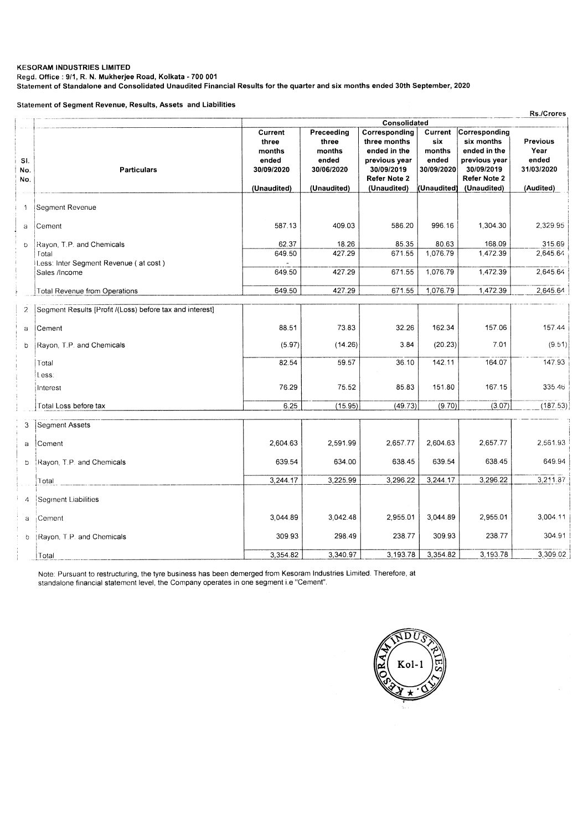**Regd. Office : 9/1, R. N. Mukherjee Road, Kolkata - 700 001** 

**Statement of Standalone and Consolidated Unaudited Financial Results for the quarter and six months ended 30th September, 2020** 

**Statement of Segment Revenue, Results, Assets and Liabilities** 

|                   | <b>Rs./Crores</b>                                        |                                                                  |                                                                     |                                                                                                             |                                                                |                                                                                                           |                                                             |  |
|-------------------|----------------------------------------------------------|------------------------------------------------------------------|---------------------------------------------------------------------|-------------------------------------------------------------------------------------------------------------|----------------------------------------------------------------|-----------------------------------------------------------------------------------------------------------|-------------------------------------------------------------|--|
|                   |                                                          | Consolidated                                                     |                                                                     |                                                                                                             |                                                                |                                                                                                           |                                                             |  |
| SI.<br>No.<br>No. | <b>Particulars</b>                                       | Current<br>three<br>months<br>ended<br>30/09/2020<br>(Unaudited) | Preceeding<br>three<br>months<br>ended<br>30/06/2020<br>(Unaudited) | Corresponding<br>three months<br>ended in the<br>previous year<br>30/09/2019<br>Refer Note 2<br>(Unaudited) | Current<br>six<br>months<br>ended<br>30/09/2020<br>(Unaudited) | Corresponding<br>six months<br>ended in the<br>previous year<br>30/09/2019<br>Refer Note 2<br>(Unaudited) | <b>Previous</b><br>Year<br>ended<br>31/03/2020<br>(Audited) |  |
| 1                 | Segment Revenue                                          |                                                                  |                                                                     |                                                                                                             |                                                                |                                                                                                           |                                                             |  |
| a                 | Cement                                                   | 587.13                                                           | 409.03                                                              | 586.20                                                                                                      | 996.16                                                         | 1,304.30                                                                                                  | 2.329.95                                                    |  |
| D.                | Rayon, T.P. and Chemicals<br>Total                       | 62.37<br>649.50                                                  | 18.26<br>427.29                                                     | 85.35<br>671.55                                                                                             | 80.63<br>1,076.79                                              | 168.09<br>1,472.39                                                                                        | 315.69<br>2,645.64                                          |  |
|                   | Less: Inter Segment Revenue (at cost)                    |                                                                  |                                                                     |                                                                                                             |                                                                |                                                                                                           |                                                             |  |
|                   | Sales /Income                                            | 649.50                                                           | 427.29                                                              | 671.55                                                                                                      | 1,076.79                                                       | 1,472.39                                                                                                  | 2,645.64                                                    |  |
|                   | Total Revenue from Operations                            | 649.50                                                           | 427.29                                                              | 671.55                                                                                                      | 1,076.79                                                       | 1,472.39                                                                                                  | 2,645.64                                                    |  |
| $\overline{c}$    | Segment Results [Profit /(Loss) before tax and interest] |                                                                  |                                                                     |                                                                                                             |                                                                |                                                                                                           |                                                             |  |
| a                 | Cement                                                   | 88.51                                                            | 73.83                                                               | 32.26                                                                                                       | 162.34                                                         | 157.06                                                                                                    | 157.44                                                      |  |
| b                 | Rayon, T.P. and Chemicals                                | (5.97)                                                           | (14.26)                                                             | 3.84                                                                                                        | (20.23)                                                        | 7.01                                                                                                      | (9.51)                                                      |  |
|                   | Total                                                    | 82.54                                                            | 59.57                                                               | 36.10                                                                                                       | 142.11                                                         | 164.07                                                                                                    | 147.93                                                      |  |
|                   | Less:                                                    |                                                                  |                                                                     |                                                                                                             |                                                                |                                                                                                           |                                                             |  |
|                   | Interest                                                 | 76.29                                                            | 75.52                                                               | 85.83                                                                                                       | 151.80                                                         | 167.15                                                                                                    | 335.46                                                      |  |
|                   | Total Loss before tax                                    | 6.25                                                             | (15.95)                                                             | (49.73)                                                                                                     | (9.70)                                                         | (3.07)                                                                                                    | (187.53)                                                    |  |
| 3                 | Segment Assets                                           |                                                                  |                                                                     |                                                                                                             |                                                                |                                                                                                           |                                                             |  |
| a                 | Cement                                                   | 2,604.63                                                         | 2,591.99                                                            | 2,657.77                                                                                                    | 2,604.63                                                       | 2,657.77                                                                                                  | 2,561.93                                                    |  |
| b                 | Rayon, T.P. and Chemicals                                | 639.54                                                           | 634.00                                                              | 638.45                                                                                                      | 639.54                                                         | 638.45                                                                                                    | 649.94                                                      |  |
|                   | Total                                                    | 3,244.17                                                         | 3,225.99                                                            | 3,296.22                                                                                                    | 3,244.17                                                       | 3,296.22                                                                                                  | 3,211.87                                                    |  |
| $\Lambda$         | Segment Liabilities                                      |                                                                  |                                                                     |                                                                                                             |                                                                |                                                                                                           |                                                             |  |
| a                 | Cement                                                   | 3,044.89                                                         | 3.042.48                                                            | 2,955.01                                                                                                    | 3,044.89                                                       | 2,955.01                                                                                                  | 3,004.11                                                    |  |
| Ö.                | Rayon, T.P. and Chemicals                                | 309.93                                                           | 298.49                                                              | 238.77                                                                                                      | 309.93                                                         | 238.77                                                                                                    | 304.91                                                      |  |
|                   | Total                                                    | 3,354.82                                                         | 3.340.97                                                            | 3,193.78                                                                                                    | 3,354.82                                                       | 3,193.78                                                                                                  | 3,309.02                                                    |  |

Note: Pursuant to restructuring, the tyre business has been demerged from Kesoram Industries Limited. Therefore, at standalone financial statement level, the Company operates in one segment i.e "Cement".

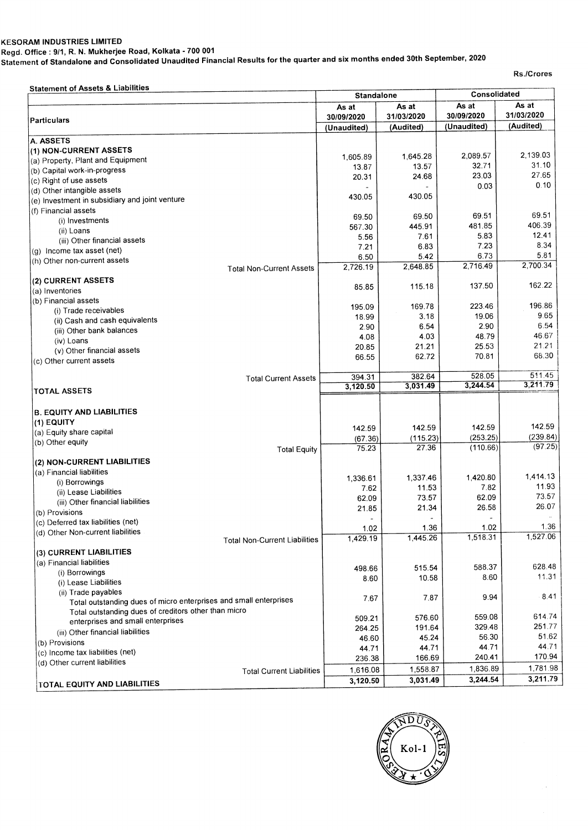**Regd. Office : 9/1, R. N. Mukherjee Road, Kolkata - 700 001 Statement of Standalone and Consolidated Unaudited Financial Results for the quarter and six months ended 30th September, 2020** 

**Rs./Crores** 

| <b>Statement of Assets &amp; Liabilities</b>                              | <b>Standalone</b> |            | Consolidated |               |  |
|---------------------------------------------------------------------------|-------------------|------------|--------------|---------------|--|
|                                                                           | As at             | As at      | As at        | As at         |  |
| Particulars                                                               | 30/09/2020        | 31/03/2020 | 30/09/2020   | 31/03/2020    |  |
|                                                                           | (Unaudited)       | (Audited)  | (Unaudited)  | (Audited)     |  |
| A. ASSETS                                                                 |                   |            |              |               |  |
| (1) NON-CURRENT ASSETS                                                    |                   |            |              |               |  |
| (a) Property, Plant and Equipment                                         | 1,605.89          | 1.645.28   | 2,089.57     | 2,139.03      |  |
| (b) Capital work-in-progress                                              | 13.87             | 13.57      | 32.71        | 31.10         |  |
| (c) Right of use assets                                                   | 20.31             | 24.68      | 23.03        | 27.65<br>0.10 |  |
| (d) Other intangible assets                                               |                   |            | 0.03         |               |  |
| (e) Investment in subsidiary and joint venture                            | 430.05            | 430.05     |              |               |  |
| (f) Financial assets                                                      |                   |            |              | 69.51         |  |
| (i) Investments                                                           | 69.50             | 69.50      | 69.51        |               |  |
| (ii) Loans                                                                | 567.30            | 445.91     | 481.85       | 406.39        |  |
| (iii) Other financial assets                                              | 5.56              | 7.61       | 5.83         | 12.41         |  |
| (g) Income tax asset (net)                                                | 7.21              | 6.83       | 7.23         | 8.34          |  |
| (h) Other non-current assets                                              | 6.50              | 5.42       | 6.73         | 5.81          |  |
| <b>Total Non-Current Assets</b>                                           | 2.726.19          | 2,648.85   | 2,716.49     | 2,700.34      |  |
| (2) CURRENT ASSETS                                                        |                   |            |              |               |  |
| (a) Inventories                                                           | 85.85             | 115.18     | 137.50       | 162.22        |  |
| (b) Financial assets                                                      |                   |            |              |               |  |
| (i) Trade receivables                                                     | 195.09            | 169.78     | 223.46       | 196.86        |  |
| (ii) Cash and cash equivalents                                            | 18.99             | 3.18       | 19.06        | 9.65          |  |
| (iii) Other bank balances                                                 | 2.90              | 6.54       | 2.90         | 6.54          |  |
| (iv) Loans                                                                | 4.08              | 4.03       | 48.79        | 46.67         |  |
| (v) Other financial assets                                                | 20.85             | 21.21      | 25.53        | 21.21         |  |
| (c) Other current assets                                                  | 66.55             | 62.72      | 70.81        | 68.30         |  |
|                                                                           |                   |            |              |               |  |
| <b>Total Current Assets</b>                                               | 394.31            | 382.64     | 528.05       | 511.45        |  |
| <b>TOTAL ASSETS</b>                                                       | 3,120.50          | 3.031.49   | 3,244.54     | 3,211.79      |  |
|                                                                           |                   |            |              |               |  |
| <b>B. EQUITY AND LIABILITIES</b>                                          |                   |            |              |               |  |
| (1) EQUITY                                                                |                   |            |              |               |  |
| (a) Equity share capital                                                  | 142.59            | 142.59     | 142.59       | 142.59        |  |
| (b) Other equity                                                          | (67.36)           | (115.23)   | (253.25)     | (239.84)      |  |
| <b>Total Equity</b>                                                       | 75.23             | 27.36      | (110.66)     | (97.25)       |  |
| (2) NON-CURRENT LIABILITIES                                               |                   |            |              |               |  |
| (a) Financial liabilities                                                 |                   |            |              |               |  |
| (i) Borrowings                                                            | 1,336.61          | 1,337.46   | 1,420.80     | 1.414.13      |  |
| (ii) Lease Liabilities                                                    | 7.62              | 11.53      | 7.82         | 11.93         |  |
| (iii) Other financial liabilities                                         | 62.09             | 73.57      | 62.09        | 73.57         |  |
| (b) Provisions                                                            | 21.85             | 21.34      | 26.58        | 26.07         |  |
| (c) Deferred tax liabilities (net)                                        |                   |            |              |               |  |
|                                                                           | 1.02              | 1.36       | 1.02         | 1.36          |  |
| (d) Other Non-current liabilities<br><b>Total Non-Current Liabilities</b> | 1,429.19          | 1,445.26   | 1,518.31     | 1,527.06      |  |
|                                                                           |                   |            |              |               |  |
| (3) CURRENT LIABILITIES<br>(a) Financial liabilities                      |                   |            |              |               |  |
|                                                                           | 498.66            | 515.54     | 588.37       | 628.48        |  |
| (i) Borrowings                                                            | 8.60              | 10.58      | 8.60         | 11.31         |  |
| (i) Lease Liabilities                                                     |                   |            |              |               |  |
| (ii) Trade payables                                                       | 7.67              | 7.87       | 9.94         | 8.41          |  |
| Total outstanding dues of micro enterprises and small enterprises         |                   |            |              |               |  |
| Total outstanding dues of creditors other than micro                      | 509.21            | 576.60     | 559.08       | 614.74        |  |
| enterprises and small enterprises                                         | 264.25            | 191.64     | 329.48       | 251.77        |  |
| (iii) Other financial liabilities                                         | 46.60             | 45.24      | 56.30        | 51.62         |  |
| (b) Provisions                                                            | 44.71             | 44.71      | 44.71        | 44.71         |  |
| (c) Income tax liabilities (net)                                          | 236.38            | 166.69     | 240.41       | 170.94        |  |
| (d) Other current liabilities                                             |                   |            | 1,836.89     | 1,781.98      |  |
| <b>Total Current Liabilities</b>                                          | 1,616.08          | 1,558.87   | 3,244.54     | 3,211.79      |  |
| TOTAL EQUITY AND LIABILITIES                                              | 3,120.50          | 3,031.49   |              |               |  |

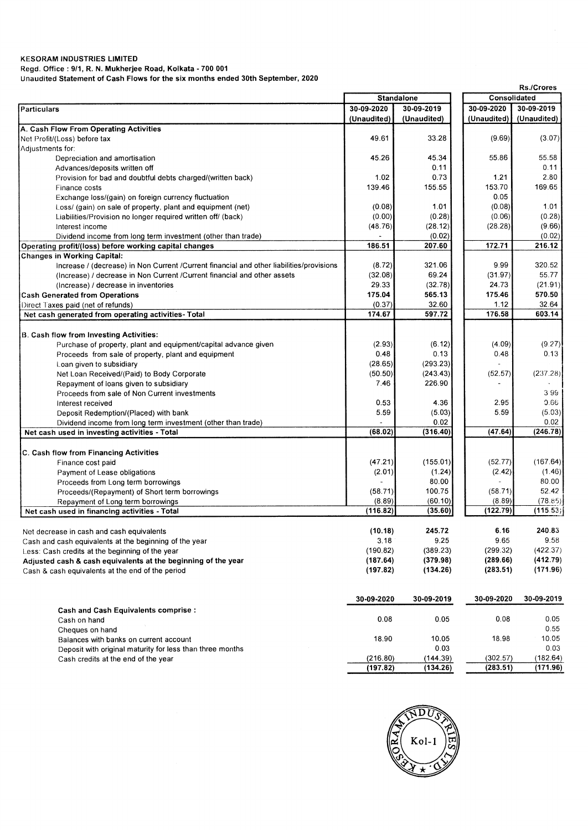**Regd. Office : 9/1, R. N. Mukherjee Road, Kolkata - 700 001** 

**Unaudited Statement of Cash Flows for the six months ended 30th September, 2020** 

|                                                                                           |             | <b>Standalone</b> |             | Consolidated |  |
|-------------------------------------------------------------------------------------------|-------------|-------------------|-------------|--------------|--|
| <b>Particulars</b>                                                                        | 30-09-2020  | 30-09-2019        | 30-09-2020  | 30-09-2019   |  |
|                                                                                           | (Unaudited) | (Unaudited)       | (Unaudited) | (Unaudited)  |  |
| A. Cash Flow From Operating Activities                                                    |             |                   |             |              |  |
| Net Profit/(Loss) before tax                                                              | 49.61       | 33.28             | (9.69)      | (3.07)       |  |
| Adjustments for:                                                                          |             |                   |             |              |  |
| Depreciation and amortisation                                                             | 45.26       | 45.34             | 55.86       | 55.58        |  |
| Advances/deposits written off                                                             |             | 0.11              |             | 0.11         |  |
| Provision for bad and doubtful debts charged/(written back)                               | 1.02        | 0.73              | 1.21        | 2.80         |  |
| Finance costs                                                                             | 139.46      | 155.55            | 153.70      | 169.65       |  |
| Exchange loss/(gain) on foreign currency fluctuation                                      |             |                   | 0.05        |              |  |
| Loss/ (gain) on sale of property, plant and equipment (net)                               | (0.08)      | 1.01              | (0.08)      | 1.01         |  |
| Liabilities/Provision no longer required written off/ (back)                              | (0.00)      | (0.28)            | (0.06)      | (0.28)       |  |
| Interest income                                                                           | (48.76)     | (28.12)           | (28.28)     | (9.66)       |  |
| Dividend income from long term investment (other than trade)                              |             | (0.02)            |             | (0.02)       |  |
| Operating profit/(loss) before working capital changes                                    | 186.51      | 207.60            | 172.71      | 216.12       |  |
| Changes in Working Capital:                                                               |             |                   |             |              |  |
| Increase / (decrease) in Non Current / Current financial and other liabilities/provisions | (8.72)      | 321.06            | 9.99        | 320.52       |  |
| (Increase) / decrease in Non Current / Current financial and other assets                 | (32.08)     | 69.24             | (31.97)     | 55.77        |  |
| (Increase) / decrease in inventories                                                      | 29.33       | (32.78)           | 24.73       | (21.91)      |  |
| <b>Cash Generated from Operations</b>                                                     | 175.04      | 565.13            | 175.46      | 570.50       |  |
| Direct Taxes paid (net of refunds)                                                        | (0.37)      | 32.60             | 1.12        | 32.64        |  |
| Net cash generated from operating activities- Total                                       | 174.67      | 597.72            | 176.58      | 603.14       |  |
|                                                                                           |             |                   |             |              |  |
| B. Cash flow from Investing Activities:                                                   |             |                   |             |              |  |
| Purchase of property, plant and equipment/capital advance given                           | (2.93)      | (6.12)            | (4.09)      | (9.27)       |  |
| Proceeds from sale of property, plant and equipment                                       | 0.48        | 0.13              | 0.48        | 0.13         |  |
| Loan given to subsidiary                                                                  | (28.65)     | (293.23)          |             |              |  |
| Net Loan Received/(Paid) to Body Corporate                                                | (50.50)     | (243.43)          | (52.57)     | (237.28)     |  |
|                                                                                           |             | 226.90            |             |              |  |
| Repayment of loans given to subsidiary                                                    | 7.46        |                   |             |              |  |
| Proceeds from sale of Non Current investments                                             |             |                   |             | 399          |  |
| Interest received                                                                         | 0.53        | 4.36              | 2.95        | 0.66         |  |
| Deposit Redemption/(Placed) with bank                                                     | 5.59        | (5.03)            | 5.59        | (5.03)       |  |
| Dividend income from long term investment (other than trade)                              |             | 0.02              |             | 0.02         |  |
| Net cash used in investing activities - Total                                             | (68.02)     | (316.40)          | (47.64)     | (246.78)     |  |
|                                                                                           |             |                   |             |              |  |
| C. Cash flow from Financing Activities                                                    |             |                   |             | (167.64)     |  |
| Finance cost paid                                                                         | (47.21)     | (155.01)          | (52.77)     |              |  |
| Payment of Lease obligations                                                              | (2.01)      | (1.24)            | (2.42)      | (1.46)       |  |
| Proceeds from Long term borrowings                                                        |             | 80.00             |             | 80.00        |  |
| Proceeds/(Repayment) of Short term borrowings                                             | (58.71)     | 100.75            | (58.71)     | 52.42        |  |
| Repayment of Long term borrowings                                                         | (8.89)      | (60.10)           | (8.89)      | (78.85)      |  |
| Net cash used in financing activities - Total                                             | (116.82)    | (35.60)           | (122.79)    | (115.53)     |  |
|                                                                                           |             |                   |             |              |  |
| Net decrease in cash and cash equivalents                                                 | (10.18)     | 245.72            | 6.16        | 240.83       |  |
| Cash and cash equivalents at the beginning of the year                                    | 3.18        | 9.25              | 9.65        | 9.58         |  |
| Less: Cash credits at the beginning of the year                                           | (190.82)    | (389.23)          | (299.32)    | (422.37)     |  |
| Adjusted cash & cash equivalents at the beginning of the year                             | (187.64)    | (379.98)          | (289.66)    | (412.79)     |  |
| Cash & cash equivalents at the end of the period                                          | (197.82)    | (134.26)          | (283.51)    | (171.96)     |  |
|                                                                                           |             |                   |             |              |  |
|                                                                                           |             |                   |             |              |  |
|                                                                                           | 30-09-2020  | 30-09-2019        | 30-09-2020  | 30-09-2019   |  |
| <b>Cash and Cash Equivalents comprise:</b>                                                |             |                   |             |              |  |
| Cash on hand                                                                              | 0.08        | 0.05              | 0.08        | 0.05         |  |
| Cheques on hand                                                                           |             |                   |             | 0.55         |  |
| Balances with banks on current account                                                    | 18.90       | 10.05             | 18.98       | 10.05        |  |
| Deposit with original maturity for less than three months                                 |             | 0.03              |             | 0.03         |  |
| Cash credits at the end of the year                                                       | (216.80)    | (144.39)          | (302.57)    | (182.64)     |  |
|                                                                                           | (197.82)    | (134.26)          | (283.51)    | (171.96)     |  |



**Rs./Crores**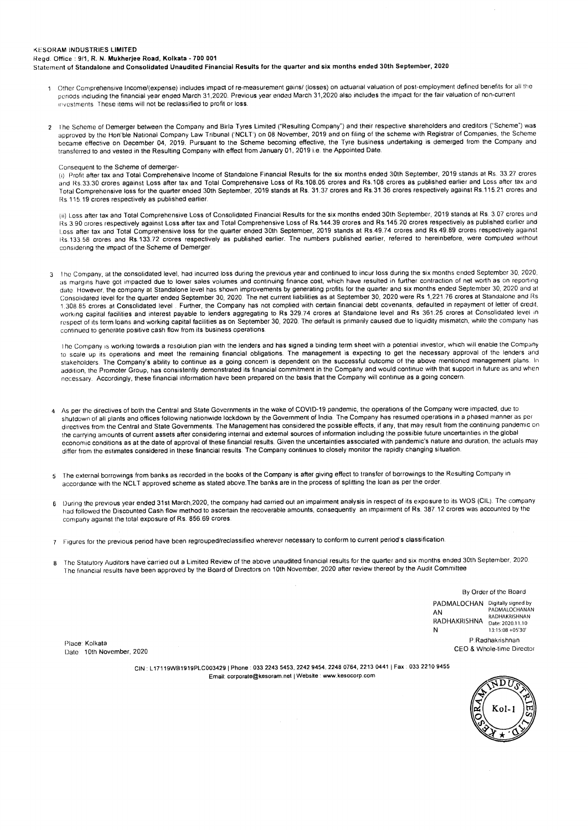Regd. Office : 9/1, R. N. Mukherjee Road, Kolkata - 700 001

Statement of Standalone and Consolidated Unaudited Financial Results for the quarter and six months ended 30th September, 2020

- Other Comprehensive Income/(expense) includes impact of re-measurement gains/ (losses) on actuarial valuation of post-employment defined benefits for all the periods including the financial year ended March 31,2020. Previous year ended March 31,2020 also includes the impact for the fair valuation of non-current investments These items will not be reclassified to profit or loss.
- The Scheme of Demerger between the Company and Birla Tyres Limited ("Resulting Company") and their respective shareholders and creditors ("Scheme") was approved by the Hon'ble National Company Law Tribunal ('NCLT') on 08 November, 2019 and on filing of the scheme with Registrar of Companies, the Scheme became effective on December 04, 2019. Pursuant to the Scheme becoming effective, the Tyre business undertaking is demerged from the Company and transferred to and vested in the Resulting Company with effect from January 01, 2019 i.e. the Appointed Date.

#### Consequent to the Scheme of demerger-

(i) Profit after tax and Total Comprehensive Income of Standalone Financial Results for the six months ended 30th September, 2019 stands at Rs. 33.27 crores and Rs.33.30 crores against Loss after tax and Total Comprehensive Loss of Rs.108.05 crores and Rs.108 crores as published earlier and Loss after tax and Total Comprehensive loss for the quarter ended 30th September, 2019 stands at Rs. 31.37 crores and Rs.31.36 crores respectively against Rs.115.21 crores and Rs 115.19 crores respectively as published earlier.

(ii) Loss after tax and Total Comprehensive Loss of Consolidated Financial Results for the six months ended 30th September, 2019 stands at Rs. 3.07 crores and Rs 3.90 crores respectively against Loss after tax and Total Comprehensive Loss of Rs.144.39 crores and Rs.145.20 crores respectively as published earlier and Loss after tax and Total Comprehensive loss for the quarter ended 30th September, 2019 stands at Rs.49.74 crores and Rs.49.89 crores respectively against Rs.133.58 crores and Rs.133.72 crores respectively as published earlier. The numbers published earlier, referred to hereinbefore, were computed without considering the impact of the Scheme of Demerger.

3 l he Company, at the consolidated level, had incurred loss during the previous year and continued to incur loss during the six months ended September 30, 2020, as margins have got impacted due to lower sales volumes and continuing finance cost, which have resulted in further contraction of net worth as on reporting date. However, the company at Standalone level has shown improvements by generating profits for the quarter and six months ended September 30, 2020 and at Consolidated level for the quarter ended September 30, 2020. The net current liabilities as at September 30, 2020 were Rs 1,221.76 crores at Standalone and Rs 1,308.85 crores at Consolidated level. Further, the Company has not complied with certain financial debt covenants, defaulted in repayment of letter of credit, working capital facilities and interest payable to lenders aggregating to Rs 329.74 crores at Standalone level and Rs 361.25 crores at Consolidated level in respect of its term loans and working capital facilities as on September 30, 2020. The default is primarily caused due to liquidity mismatch, while the company has continued to generate positive cash flow from its business operations.

lhe Company is working towards a resolution plan with the lenders and has signed a binding term sheet with a potential investor, which will enable the Company to scale up its operations and meet the remaining financial obligations. The management is expecting to get the necessary approval of the lenders and stakeholders. The Company's ability to continue as a going concern is dependent on the successful outcome of the above mentioned management plans. In addition, the Promoter Group, has consistently demonstrated its financial commitment in the Company and would continue with that support in future as and when necessary. Accordingly, these financial information have been prepared on the basis that the Company will continue as a going concern.

- <sup>4</sup>As per the directives of both the Central and State Governments in the wake of COVID-19 pandemic, the operations of the Company were impacted, due to shutdown of all plants and offices following nationwide lockdown by the Government of India. The Company has resumed operations in a phased manner as per directives from the Central and State Governments. The Management has considered the possible effects, if any, that may result from the continuing pandemic on the carrying amounts of current assets after considering internal and external sources of information including the possible future uncertainties in the global economic conditions as at the date of approval of these financial results. Given the uncertainties associated with pandemic's nature and duration, the actuals may differ from the estimates considered in these financial results. The Company continues to closely monitor the rapidly changing situation.
- 5 The external borrowings from banks as recorded in the books of the Company is after giving effect to transfer of borrowings to the Resulting Company in accordance with the NCLT approved scheme as stated above.The banks are in the process of splitting the loan as per the order.
- 6 During the previous year ended 31st March,2020, the company had carried out an impairment analysis in respect of its exposure to its WOS (CIL). The company had followed the Discounted Cash flow method to ascertain the recoverable amounts, consequently an impairment of Rs. 387.12 crores was accounted by the company against the total exposure of Rs. 856.69 crores.
- 7 Figures for the previous period have been regrouped/reclassified wherever necessary to conform to current period's classification.
- <sup>8</sup>The Statutory Auditors have carried out a Limited Review of the above unaudited financial results for the quarter and six months ended 30th September, 2020. The financial results have been approved by the Board of Directors on 10th November, 2020 after review thereof by the Audit Committee

By Order of the Board PADMALOCHAN Digitally signed by AN PADMALOCHANAN RADHAKRISHNAN RADHAKRISHNA Date: 2020.11.10 N 13:15:08 +05'30' P.Radhakrishnan CEO & Whole-time Director

Place: Kolkata Date: 10th November, 2020

> CIN : L17119WB1919PLC003429 | Phone : 033 2243 5453, 2242 9454, 2248 0764, 2213 0441 | Fax : 033 2210 9455 Email: corporate@kesoram.net | Website : www.kesocorp.com

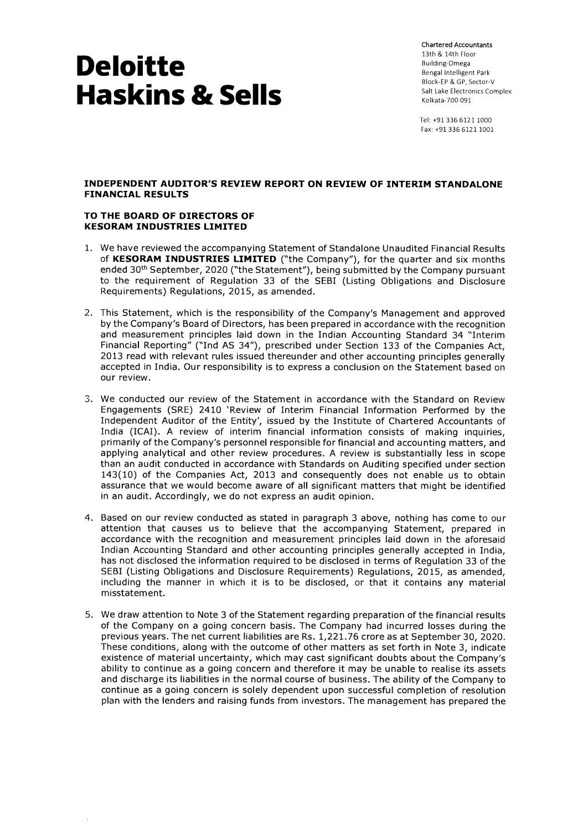Chartered Accountants 13th & 14th Floor Building-Omega Bengal Intelligent Park Block-EP & GP, Sector-V Salt Lake Electronics Complex Kolkata-700 091

Tel: +91 336 6121 1000 Fax: +91 336 6121 1001

### **INDEPENDENT AUDITOR'S REVIEW REPORT ON REVIEW OF INTERIM STANDALONE FINANCIAL RESULTS**

### **TO THE BOARD OF DIRECTORS OF KESORAM INDUSTRIES LIMITED**

- 1. We have reviewed the accompanying Statement of Standalone Unaudited Financial Results of **KESORAM INDUSTRIES LIMITED** ("the Company"), for the quarter and six months ended 30<sup>th</sup> September, 2020 ("the Statement"), being submitted by the Company pursuant to the requirement of Regulation 33 of the SEBI (Listing Obligations and Disclosure Requirements) Regulations, 2015, as amended.
- 2. This Statement, which is the responsibility of the Company's Management and approved by the Company's Board of Directors, has been prepared in accordance with the recognition and measurement principles laid down in the Indian Accounting Standard 34 "Interim Financial Reporting" ("Ind AS 34"), prescribed under Section 133 of the Companies Act, 2013 read with relevant rules issued thereunder and other accounting principles generally accepted in India. Our responsibility is to express a conclusion on the Statement based on our review.
- 3. We conducted our review of the Statement in accordance with the Standard on Review Engagements (SRE) 2410 'Review of Interim Financial Information Performed by the Independent Auditor of the Entity', issued by the Institute of Chartered Accountants of India (ICAI). A review of interim financial information consists of making inquiries, primarily of the Company's personnel responsible for financial and accounting matters, and applying analytical and other review procedures. A review is substantially less in scope than an audit conducted in accordance with Standards on Auditing specified under section 143(10) of the Companies Act, 2013 and consequently does not enable us to obtain assurance that we would become aware of all significant matters that might be identified in an audit. Accordingly, we do not express an audit opinion.
- 4. Based on our review conducted as stated in paragraph 3 above, nothing has come to our attention that causes us to believe that the accompanying Statement, prepared in accordance with the recognition and measurement principles laid down in the aforesaid Indian Accounting Standard and other accounting principles generally accepted in India, has not disclosed the information required to be disclosed in terms of Regulation 33 of the SEBI (Listing Obligations and Disclosure Requirements) Regulations, 2015, as amended, including the manner in which it is to be disclosed, or that it contains any material misstatement.
- 5. We draw attention to Note 3 of the Statement regarding preparation of the financial results of the Company on a going concern basis. The Company had incurred losses during the previous years. The net current liabilities are Rs. 1,221.76 crore as at September 30, 2020. These conditions, along with the outcome of other matters as set forth in Note 3, indicate existence of material uncertainty, which may cast significant doubts about the Company's ability to continue as a going concern and therefore it may be unable to realise its assets and discharge its liabilities in the normal course of business. The ability of the Company to continue as a going concern is solely dependent upon successful completion of resolution plan with the lenders and raising funds from investors. The management has prepared the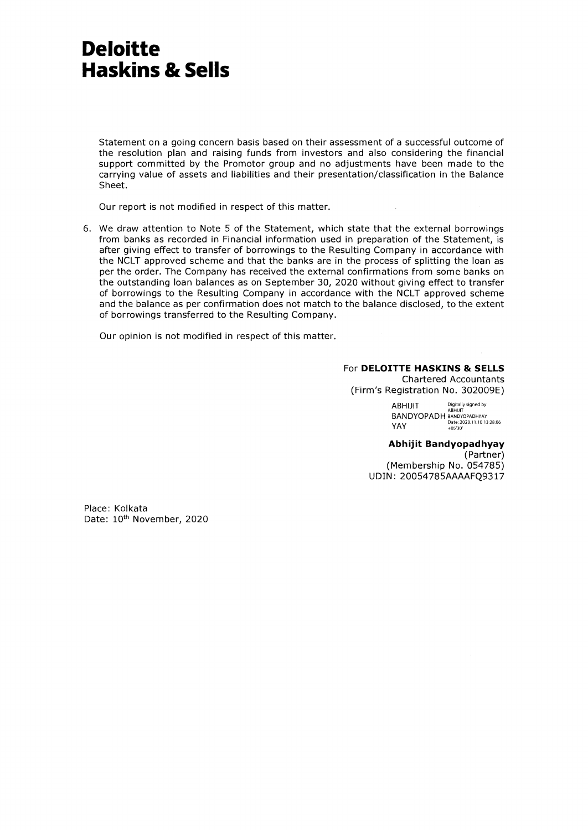Statement on a going concern basis based on their assessment of a successful outcome of the resolution plan and raising funds from investors and also considering the financial support committed by the Promotor group and no adjustments have been made to the carrying value of assets and liabilities and their presentation/classification in the Balance Sheet.

Our report is not modified in respect of this matter.

6. We draw attention to Note 5 of the Statement, which state that the external borrowings from banks as recorded in Financial information used in preparation of the Statement, is after giving effect to transfer of borrowings to the Resulting Company in accordance with the NCLT approved scheme and that the banks are in the process of splitting the loan as per the order. The Company has received the external confirmations from some banks on the outstanding loan balances as on September 30, 2020 without giving effect to transfer of borrowings to the Resulting Company in accordance with the NCLT approved scheme and the balance as per confirmation does not match to the balance disclosed, to the extent of borrowings transferred to the Resulting Company.

Our opinion is not modified in respect of this matter.

### For **DELOITTE HASKINS & SELLS**

Chartered Accountants (Firm's Registration No. 302009E)

ABHIJIT Digitally signed by ABHIJIT BANDYOPADH BANDYOPADHYAY Date: 2020.11.10 13:28:06 YAY +05'30'

**Abhijit Bandyopadhyay**  (Partner) (Membership No. 054785) UDIN: 20054785AAAAFQ9317

Place: Kolkata Date: 10<sup>th</sup> November, 2020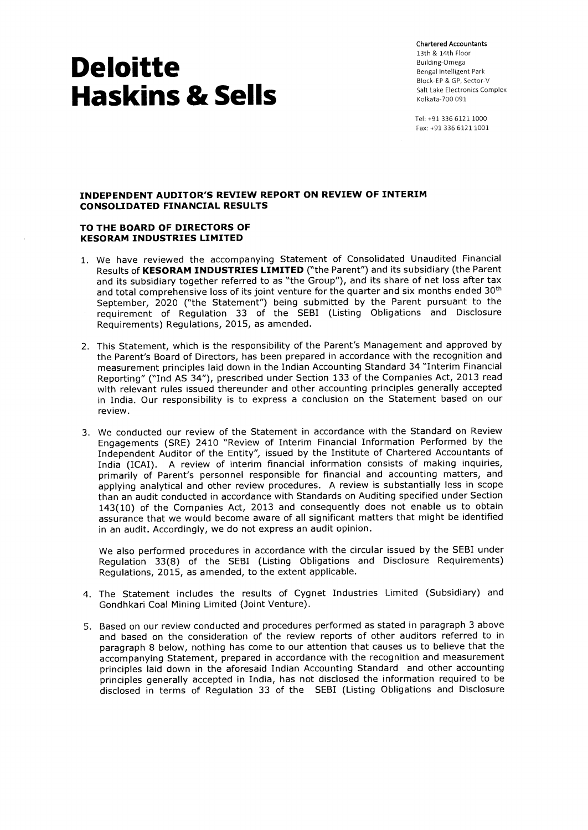Chartered Accountants 13th & 14th Floor Building-Omega Bengal Intelligent Park Block-EP & GP, Sector-V Salt Lake Electronics Complex Kolkata-700 091

Tel: +91 336 6121 1000 Fax: +91 336 6121 1001

### **INDEPENDENT AUDITOR'S REVIEW REPORT ON REVIEW OF INTERIM CONSOLIDATED FINANCIAL RESULTS**

#### **TO THE BOARD OF DIRECTORS OF KESORAM INDUSTRIES LIMITED**

- 1. We have reviewed the accompanying Statement of Consolidated Unaudited Financial Results of **KESORAM INDUSTRIES LIMITED** ("the Parent") and its subsidiary (the Parent and its subsidiary together referred to as "the Group"), and its share of net loss after tax and total comprehensive loss of its joint venture for the quarter and six months ended 30<sup>th</sup> September, 2020 ("the Statement") being submitted by the Parent pursuant to the requirement of Regulation 33 of the SEBI (Listing Obligations and Disclosure Requirements) Regulations, 2015, as amended.
- 2. This Statement, which is the responsibility of the Parent's Management and approved by the Parent's Board of Directors, has been prepared in accordance with the recognition and measurement principles laid down in the Indian Accounting Standard 34 "Interim Financial Reporting" ("Ind AS 34"), prescribed under Section 133 of the Companies Act, 2013 read with relevant rules issued thereunder and other accounting principles generally accepted in India. Our responsibility is to express a conclusion on the Statement based on our review.
- 3. We conducted our review of the Statement in accordance with the Standard on Review Engagements (SRE) 2410 "Review of Interim Financial Information Performed by the Independent Auditor of the Entity", issued by the Institute of Chartered Accountants of India (ICAI). A review of interim financial information consists of making inquiries, primarily of Parent's personnel responsible for financial and accounting matters, and applying analytical and other review procedures. A review is substantially less in scope than an audit conducted in accordance with Standards on Auditing specified under Section 143(10) of the Companies Act, 2013 and consequently does not enable us to obtain assurance that we would become aware of all significant matters that might be identified in an audit. Accordingly, we do not express an audit opinion.

We also performed procedures in accordance with the circular issued by the SEBI under Regulation 33(8) of the SEBI (Listing Obligations and Disclosure Requirements) Regulations, 2015, as amended, to the extent applicable.

- 4. The Statement includes the results of Cygnet Industries Limited (Subsidiary) and Gondhkari Coal Mining Limited (Joint Venture).
- 5. Based on our review conducted and procedures performed as stated in paragraph 3 above and based on the consideration of the review reports of other auditors referred to in paragraph 8 below, nothing has come to our attention that causes us to believe that the accompanying Statement, prepared in accordance with the recognition and measurement principles laid down in the aforesaid Indian Accounting Standard and other accounting principles generally accepted in India, has not disclosed the information required to be disclosed in terms of Regulation 33 of the SEBI (Listing Obligations and Disclosure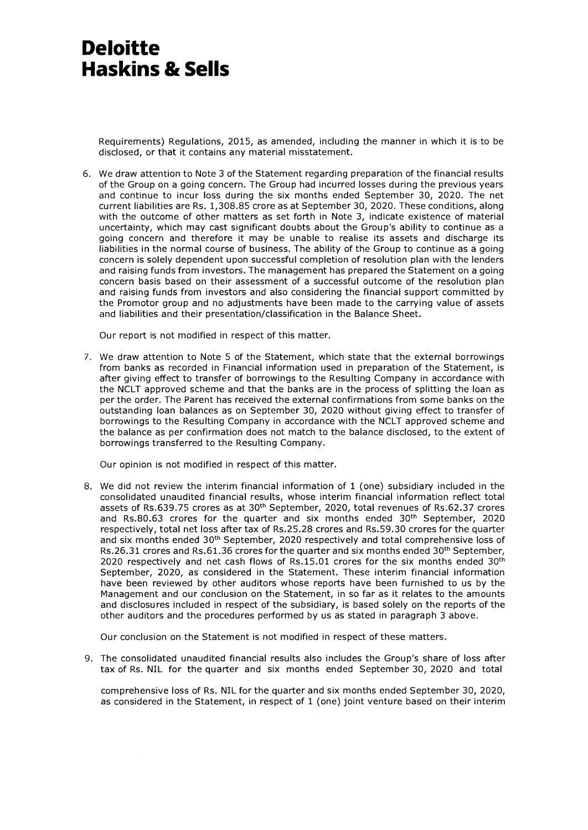Requirements) Regulations, 2015, as amended, including the manner in which it is to be disclosed, or that it contains any material misstatement.

6. We draw attention to Note 3 of the Statement regarding preparation of the financial results of the Group on a going concern. The Group had incurred losses during the previous years and continue to incur loss during the six months ended September 30, 2020. The net current liabilities are Rs. 1,308.85 crore as at September 30, 2020. These conditions, along with the outcome of other matters as set forth in Note 3, indicate existence of material uncertainty, which may cast significant doubts about the Group's ability to continue as a going concern and therefore it may be unable to realise its assets and discharge its liabilities in the normal course of business. The ability of the Group to continue as a going concern is solely dependent upon successful completion of resolution plan with the lenders and raising funds from investors. The management has prepared the Statement on a going concern basis based on their assessment of a successful outcome of the resolution plan and raising funds from investors and also considering the financial support committed by the Promotor group and no adjustments have been made to the carrying value of assets and liabilities and their presentation/classification in the Balance Sheet.

Our report is not modified in respect of this matter.

7. We draw attention to Note 5 of the Statement, which state that the external borrowings from banks as recorded in Financial information used in preparation of the Statement, is after giving effect to transfer of borrowings to the Resulting Company in accordance with the NCLT approved scheme and that the banks are in the process of splitting the loan as per the order. The Parent has received the external confirmations from some banks on the outstanding loan balances as on September 30, 2020 without giving effect to transfer of borrowings to the Resulting Company in accordance with the NCLT approved scheme and the balance as per confirmation does not match to the balance disclosed, to the extent of borrowings transferred to the Resulting Company.

Our opinion is not modified in respect of this matter.

8. We did not review the interim financial information of 1 (one) subsidiary included in the consolidated unaudited financial results, whose interim financial information reflect total assets of Rs.639.75 crores as at 30<sup>th</sup> September, 2020, total revenues of Rs.62.37 crores and Rs.80.63 crores for the quarter and six months ended 30th September, 2020 respectively, total net loss after tax of Rs.25.28 crores and Rs.59.30 crores for the quarter and six months ended 30<sup>th</sup> September, 2020 respectively and total comprehensive loss of Rs.26.31 crores and Rs.61.36 crores for the quarter and six months ended  $30<sup>th</sup>$  September, 2020 respectively and net cash flows of Rs.15.01 crores for the six months ended  $30<sup>th</sup>$ September, 2020, as considered in the Statement. These interim financial information have been reviewed by other auditors whose reports have been furnished to us by the Management and our conclusion on the Statement, in so far as it relates to the amounts and disclosures included in respect of the subsidiary, is based solely on the reports of the other auditors and the procedures performed by us as stated in paragraph 3 above.

Our conclusion on the Statement is not modified in respect of these matters.

9. The consolidated unaudited financial results also includes the Group's share of loss after tax of Rs. NIL for the quarter and six months ended September 30, 2020 and total

comprehensive loss of Rs. NIL for the quarter and six months ended September 30, 2020, as considered in the Statement, in respect of 1 (one) joint venture based on their interim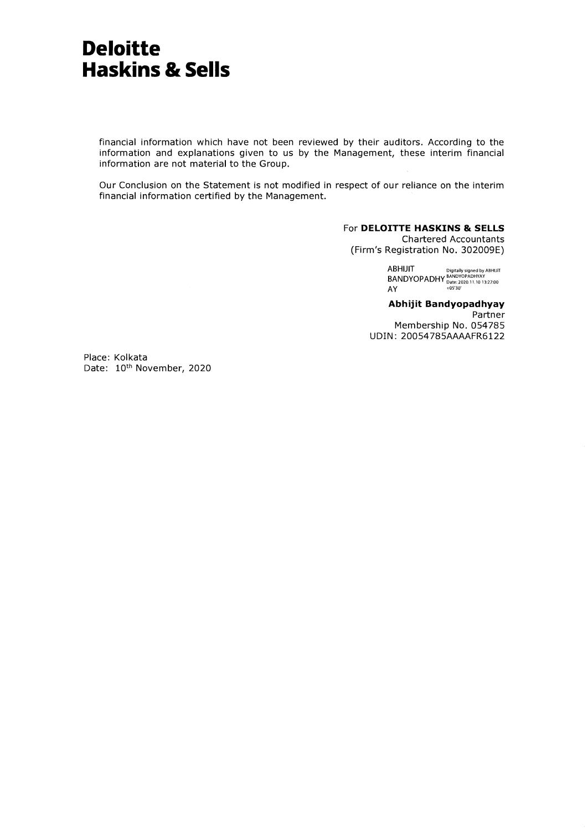financial information which have not been reviewed by their auditors. According to the information and explanations given to us by the Management, these interim financial information are not material to the Group.

Our Conclusion on the Statement is not modified in respect of our reliance on the interim financial information certified by the Management.

#### For **DELOITTE HASKINS & SELLS**  Chartered Accountants

(Firm's Registration No. 302009E)

ABHIJIT Digitally signed by ABHIJIT BANDYOPADHY BANDYOPADHYAY Date: 2020.11.10 13:27:00 AY 405'30.

**Abhijit Bandyopadhyay**  Partner Membership No. 054785 UDIN: 20054785AAAAFR6122

Place: Kolkata Date: 10<sup>th</sup> November, 2020